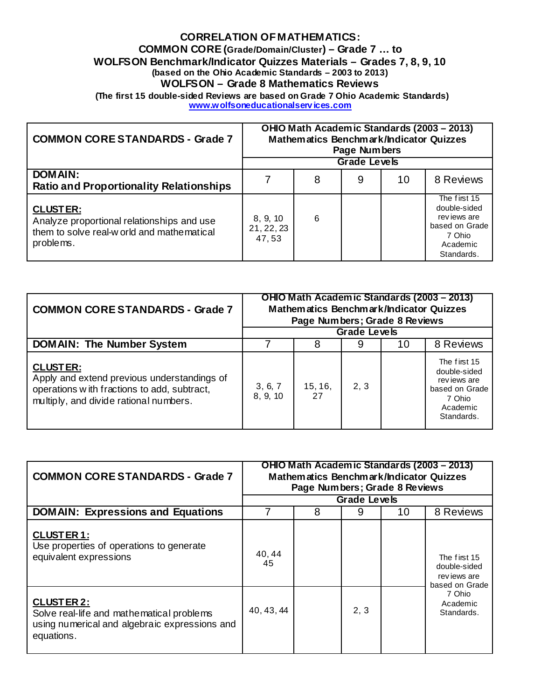## **CORRELATION OF MATHEMATICS:**

**COMMON CORE (Grade/Domain/Cluster) – Grade 7 … to** 

**WOLFSON Benchmark/Indicator Quizzes Materials – Grades 7, 8, 9, 10** 

**(based on the Ohio Academic Standards – 2003 to 2013)** 

**WOLFSON – Grade 8 Mathematics Reviews** 

 **(The first 15 double-sided Reviews are based on Grade 7 Ohio Academic Standards) www.wolfsoneducationalserv ices.com** 

| <b>COMMON CORE STANDARDS - Grade 7</b>                                                                                   | OHIO Math Academic Standards (2003 - 2013)<br>Mathematics Benchmark/Indicator Quizzes<br>Page Numbers |   |   |    |                                                                                                    |
|--------------------------------------------------------------------------------------------------------------------------|-------------------------------------------------------------------------------------------------------|---|---|----|----------------------------------------------------------------------------------------------------|
|                                                                                                                          | <b>Grade Levels</b>                                                                                   |   |   |    |                                                                                                    |
| <b>DOMAIN:</b><br><b>Ratio and Proportionality Relationships</b>                                                         |                                                                                                       | 8 | 9 | 10 | 8 Reviews                                                                                          |
| <b>CLUSTER:</b><br>Analyze proportional relationships and use<br>them to solve real-w orld and mathematical<br>problems. | 8, 9, 10<br>21, 22, 23<br>47,53                                                                       | 6 |   |    | The first 15<br>double-sided<br>rev jews are<br>based on Grade<br>7 Ohio<br>Academic<br>Standards. |

| <b>COMMON CORE STANDARDS - Grade 7</b>                                                                                                                  | OHIO Math Academic Standards (2003 – 2013)<br>Mathematics Benchmark/Indicator Quizzes<br>Page Numbers; Grade 8 Reviews<br><b>Grade Levels</b> |               |      |    |                                                                                                   |
|---------------------------------------------------------------------------------------------------------------------------------------------------------|-----------------------------------------------------------------------------------------------------------------------------------------------|---------------|------|----|---------------------------------------------------------------------------------------------------|
| <b>DOMAIN: The Number System</b>                                                                                                                        |                                                                                                                                               | 8             |      | 10 | 8 Reviews                                                                                         |
| <b>CLUSTER:</b><br>Apply and extend previous understandings of<br>operations with fractions to add, subtract,<br>multiply, and divide rational numbers. | 3, 6, 7<br>8, 9, 10                                                                                                                           | 15, 16,<br>27 | 2, 3 |    | The first 15<br>double-sided<br>reviews are<br>based on Grade<br>7 Ohio<br>Academic<br>Standards. |

| <b>COMMON CORE STANDARDS - Grade 7</b>                                                                                        | OHIO Math Academic Standards (2003 – 2013)<br>Mathematics Benchmark/Indicator Quizzes<br>Page Numbers; Grade 8 Reviews |   |      |    |                                                                                                   |
|-------------------------------------------------------------------------------------------------------------------------------|------------------------------------------------------------------------------------------------------------------------|---|------|----|---------------------------------------------------------------------------------------------------|
|                                                                                                                               | <b>Grade Levels</b>                                                                                                    |   |      |    |                                                                                                   |
| <b>DOMAIN: Expressions and Equations</b>                                                                                      |                                                                                                                        | 8 | 9    | 10 | 8 Reviews                                                                                         |
| <b>CLUSTER 1:</b><br>Use properties of operations to generate<br>equivalent expressions                                       | 40, 44<br>45                                                                                                           |   |      |    | The first 15<br>double-sided<br>reviews are<br>based on Grade<br>7 Ohio<br>Academic<br>Standards. |
| <b>CLUSTER 2:</b><br>Solve real-life and mathematical problems<br>using numerical and algebraic expressions and<br>equations. | 40, 43, 44                                                                                                             |   | 2, 3 |    |                                                                                                   |